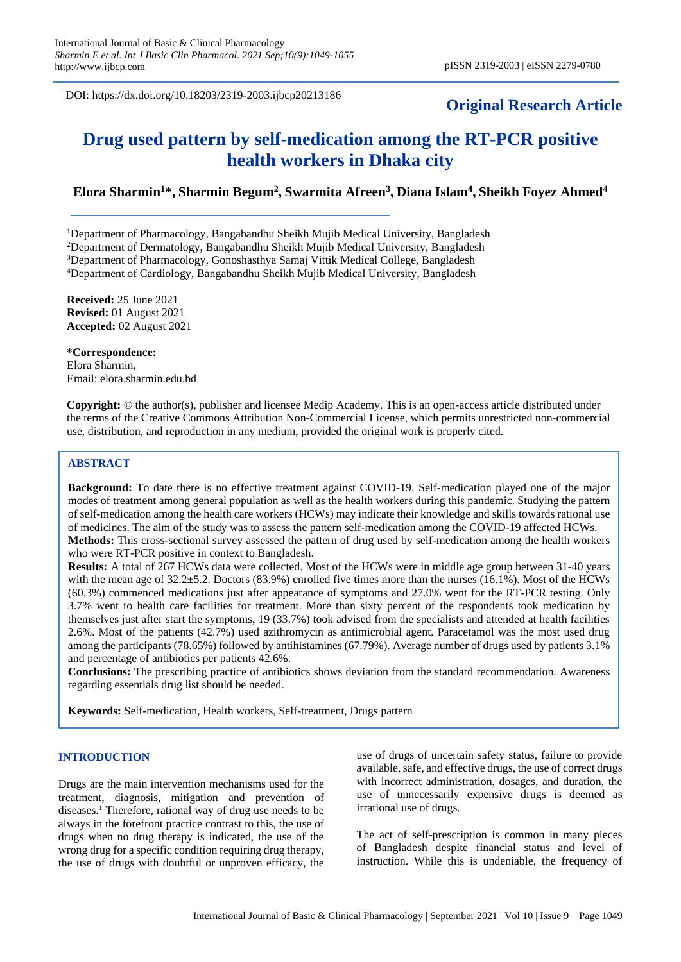DOI: https://dx.doi.org/10.18203/2319-2003.ijbcp20213186

# **Original Research Article**

# **Drug used pattern by self-medication among the RT-PCR positive health workers in Dhaka city**

# **Elora Sharmin<sup>1</sup>\*, Sharmin Begum<sup>2</sup> , Swarmita Afreen<sup>3</sup> , Diana Islam<sup>4</sup> , Sheikh Foyez Ahmed<sup>4</sup>**

Department of Pharmacology, Bangabandhu Sheikh Mujib Medical University, Bangladesh Department of Dermatology, Bangabandhu Sheikh Mujib Medical University, Bangladesh Department of Pharmacology, Gonoshasthya Samaj Vittik Medical College, Bangladesh Department of Cardiology, Bangabandhu Sheikh Mujib Medical University, Bangladesh

**Received:** 25 June 2021 **Revised:** 01 August 2021 **Accepted:** 02 August 2021

**\*Correspondence:** Elora Sharmin, Email: elora.sharmin.edu.bd

**Copyright:** © the author(s), publisher and licensee Medip Academy. This is an open-access article distributed under the terms of the Creative Commons Attribution Non-Commercial License, which permits unrestricted non-commercial use, distribution, and reproduction in any medium, provided the original work is properly cited.

# **ABSTRACT**

**Background:** To date there is no effective treatment against COVID-19. Self-medication played one of the major modes of treatment among general population as well as the health workers during this pandemic. Studying the pattern of self-medication among the health care workers (HCWs) may indicate their knowledge and skills towards rational use of medicines. The aim of the study was to assess the pattern self-medication among the COVID-19 affected HCWs. **Methods:** This cross-sectional survey assessed the pattern of drug used by self-medication among the health workers who were RT-PCR positive in context to Bangladesh.

**Results:** A total of 267 HCWs data were collected. Most of the HCWs were in middle age group between 31-40 years with the mean age of 32.2 $\pm$ 5.2. Doctors (83.9%) enrolled five times more than the nurses (16.1%). Most of the HCWs (60.3%) commenced medications just after appearance of symptoms and 27.0% went for the RT-PCR testing. Only 3.7% went to health care facilities for treatment. More than sixty percent of the respondents took medication by themselves just after start the symptoms, 19 (33.7%) took advised from the specialists and attended at health facilities 2.6%. Most of the patients (42.7%) used azithromycin as antimicrobial agent. Paracetamol was the most used drug among the participants (78.65%) followed by antihistamines (67.79%). Average number of drugs used by patients 3.1% and percentage of antibiotics per patients 42.6%.

**Conclusions:** The prescribing practice of antibiotics shows deviation from the standard recommendation. Awareness regarding essentials drug list should be needed.

**Keywords:** Self-medication, Health workers, Self-treatment, Drugs pattern

# **INTRODUCTION**

Drugs are the main intervention mechanisms used for the treatment, diagnosis, mitigation and prevention of diseases.<sup>1</sup> Therefore, rational way of drug use needs to be always in the forefront practice contrast to this, the use of drugs when no drug therapy is indicated, the use of the wrong drug for a specific condition requiring drug therapy, the use of drugs with doubtful or unproven efficacy, the use of drugs of uncertain safety status, failure to provide available, safe, and effective drugs, the use of correct drugs with incorrect administration, dosages, and duration, the use of unnecessarily expensive drugs is deemed as irrational use of drugs.

The act of self-prescription is common in many pieces of Bangladesh despite financial status and level of instruction. While this is undeniable, the frequency of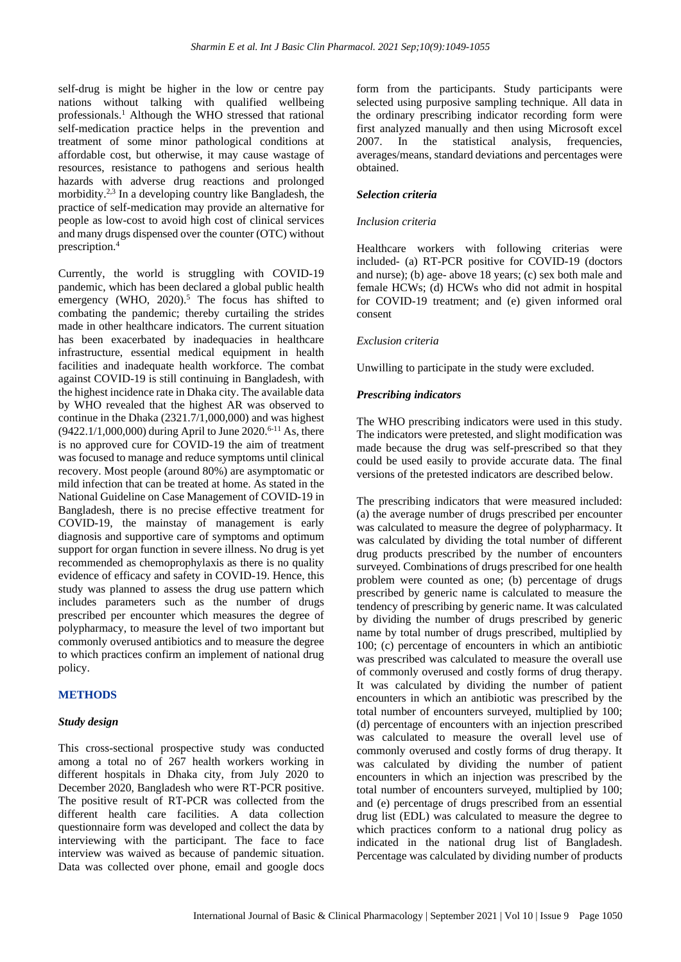self-drug is might be higher in the low or centre pay nations without talking with qualified wellbeing professionals.<sup>1</sup> Although the WHO stressed that rational self-medication practice helps in the prevention and treatment of some minor pathological conditions at affordable cost, but otherwise, it may cause wastage of resources, resistance to pathogens and serious health hazards with adverse drug reactions and prolonged morbidity.2,3 In a developing country like Bangladesh, the practice of self-medication may provide an alternative for people as low-cost to avoid high cost of clinical services and many drugs dispensed over the counter (OTC) without prescription.<sup>4</sup>

Currently, the world is struggling with COVID-19 pandemic, which has been declared a global public health emergency (WHO,  $2020$ ).<sup>5</sup> The focus has shifted to combating the pandemic; thereby curtailing the strides made in other healthcare indicators. The current situation has been exacerbated by inadequacies in healthcare infrastructure, essential medical equipment in health facilities and inadequate health workforce. The combat against COVID-19 is still continuing in Bangladesh, with the highest incidence rate in Dhaka city. The available data by WHO revealed that the highest AR was observed to continue in the Dhaka (2321.7/1,000,000) and was highest  $(9422.1/1,000,000)$  during April to June 2020.<sup>6-11</sup> As, there is no approved cure for COVID-19 the aim of treatment was focused to manage and reduce symptoms until clinical recovery. Most people (around 80%) are asymptomatic or mild infection that can be treated at home. As stated in the National Guideline on Case Management of COVID-19 in Bangladesh, there is no precise effective treatment for COVID-19, the mainstay of management is early diagnosis and supportive care of symptoms and optimum support for organ function in severe illness. No drug is yet recommended as chemoprophylaxis as there is no quality evidence of efficacy and safety in COVID-19. Hence, this study was planned to assess the drug use pattern which includes parameters such as the number of drugs prescribed per encounter which measures the degree of polypharmacy, to measure the level of two important but commonly overused antibiotics and to measure the degree to which practices confirm an implement of national drug policy.

# **METHODS**

#### *Study design*

This cross-sectional prospective study was conducted among a total no of 267 health workers working in different hospitals in Dhaka city, from July 2020 to December 2020, Bangladesh who were RT-PCR positive. The positive result of RT-PCR was collected from the different health care facilities. A data collection questionnaire form was developed and collect the data by interviewing with the participant. The face to face interview was waived as because of pandemic situation. Data was collected over phone, email and google docs form from the participants. Study participants were selected using purposive sampling technique. All data in the ordinary prescribing indicator recording form were first analyzed manually and then using Microsoft excel 2007. In the statistical analysis, frequencies, averages/means, standard deviations and percentages were obtained.

#### *Selection criteria*

#### *Inclusion criteria*

Healthcare workers with following criterias were included- (a) RT-PCR positive for COVID-19 (doctors and nurse); (b) age- above 18 years; (c) sex both male and female HCWs; (d) HCWs who did not admit in hospital for COVID-19 treatment; and (e) given informed oral consent

#### *Exclusion criteria*

Unwilling to participate in the study were excluded.

# *Prescribing indicators*

The WHO prescribing indicators were used in this study. The indicators were pretested, and slight modification was made because the drug was self-prescribed so that they could be used easily to provide accurate data. The final versions of the pretested indicators are described below.

The prescribing indicators that were measured included: (a) the average number of drugs prescribed per encounter was calculated to measure the degree of polypharmacy. It was calculated by dividing the total number of different drug products prescribed by the number of encounters surveyed. Combinations of drugs prescribed for one health problem were counted as one; (b) percentage of drugs prescribed by generic name is calculated to measure the tendency of prescribing by generic name. It was calculated by dividing the number of drugs prescribed by generic name by total number of drugs prescribed, multiplied by 100; (c) percentage of encounters in which an antibiotic was prescribed was calculated to measure the overall use of commonly overused and costly forms of drug therapy. It was calculated by dividing the number of patient encounters in which an antibiotic was prescribed by the total number of encounters surveyed, multiplied by 100; (d) percentage of encounters with an injection prescribed was calculated to measure the overall level use of commonly overused and costly forms of drug therapy. It was calculated by dividing the number of patient encounters in which an injection was prescribed by the total number of encounters surveyed, multiplied by 100; and (e) percentage of drugs prescribed from an essential drug list (EDL) was calculated to measure the degree to which practices conform to a national drug policy as indicated in the national drug list of Bangladesh. Percentage was calculated by dividing number of products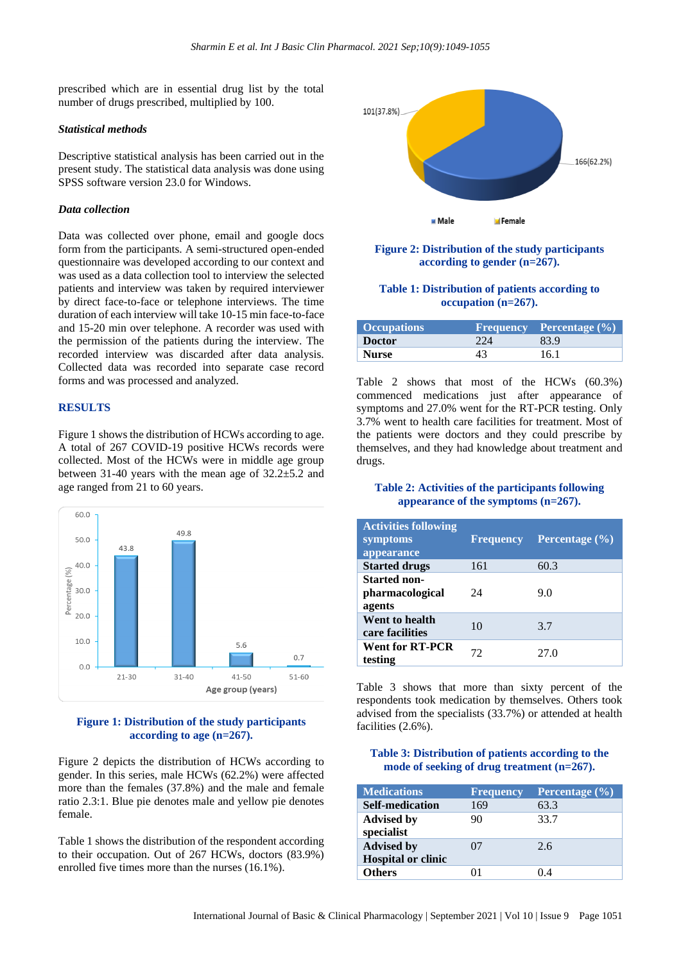prescribed which are in essential drug list by the total number of drugs prescribed, multiplied by 100.

#### *Statistical methods*

Descriptive statistical analysis has been carried out in the present study. The statistical data analysis was done using SPSS software version 23.0 for Windows.

#### *Data collection*

Data was collected over phone, email and google docs form from the participants. A semi-structured open-ended questionnaire was developed according to our context and was used as a data collection tool to interview the selected patients and interview was taken by required interviewer by direct face-to-face or telephone interviews. The time duration of each interview will take 10-15 min face-to-face and 15-20 min over telephone. A recorder was used with the permission of the patients during the interview. The recorded interview was discarded after data analysis. Collected data was recorded into separate case record forms and was processed and analyzed.

## **RESULTS**

Figure 1 shows the distribution of HCWs according to age. A total of 267 COVID-19 positive HCWs records were collected. Most of the HCWs were in middle age group between 31-40 years with the mean age of 32.2±5.2 and age ranged from 21 to 60 years.



# **Figure 1: Distribution of the study participants according to age (n=267).**

Figure 2 depicts the distribution of HCWs according to gender. In this series, male HCWs (62.2%) were affected more than the females (37.8%) and the male and female ratio 2.3:1. Blue pie denotes male and yellow pie denotes female.

Table 1 shows the distribution of the respondent according to their occupation. Out of 267 HCWs, doctors (83.9%) enrolled five times more than the nurses (16.1%).



## **Figure 2: Distribution of the study participants according to gender (n=267).**

#### **Table 1: Distribution of patients according to occupation (n=267).**

| <b>Occupations</b> |     | Frequency Percentage $(\% )$ |
|--------------------|-----|------------------------------|
| <b>Doctor</b>      | 224 | 83.9                         |
| <b>Nurse</b>       |     | 16.1                         |

Table 2 shows that most of the HCWs (60.3%) commenced medications just after appearance of symptoms and 27.0% went for the RT-PCR testing. Only 3.7% went to health care facilities for treatment. Most of the patients were doctors and they could prescribe by themselves, and they had knowledge about treatment and drugs.

# **Table 2: Activities of the participants following appearance of the symptoms (n=267).**

| <b>Activities following</b><br>symptoms<br>appearance | <b>Frequency</b> | Percentage $(\% )$ |
|-------------------------------------------------------|------------------|--------------------|
| <b>Started drugs</b>                                  | 161              | 60.3               |
| <b>Started non-</b><br>pharmacological<br>agents      | 24               | 9.0                |
| Went to health<br>care facilities                     | 10               | 3.7                |
| <b>Went for RT-PCR</b><br>testing                     | 72               | 27.0               |

Table 3 shows that more than sixty percent of the respondents took medication by themselves. Others took advised from the specialists (33.7%) or attended at health facilities (2.6%).

## **Table 3: Distribution of patients according to the mode of seeking of drug treatment (n=267).**

| <b>Medications</b>                             | <b>Frequency</b> | <b>Percentage</b> $(\%)$ |
|------------------------------------------------|------------------|--------------------------|
| <b>Self-medication</b>                         | 169              | 63.3                     |
| <b>Advised by</b><br>specialist                | 90               | 33.7                     |
| <b>Advised by</b><br><b>Hospital or clinic</b> | 07               | 2.6                      |
| <b>Others</b>                                  | п                | 04                       |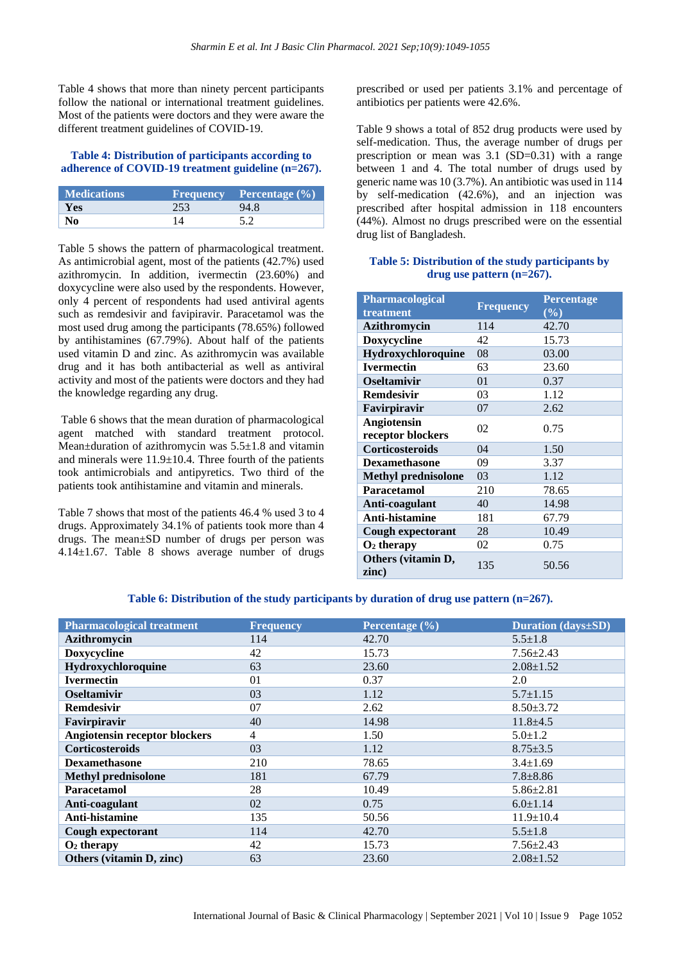Table 4 shows that more than ninety percent participants follow the national or international treatment guidelines. Most of the patients were doctors and they were aware the different treatment guidelines of COVID-19.

## **Table 4: Distribution of participants according to adherence of COVID-19 treatment guideline (n=267).**

| <b>Medications</b> |     | Frequency Percentage $(\% )$ |
|--------------------|-----|------------------------------|
| Yes                | 253 | 94.8                         |
| N0                 |     |                              |

Table 5 shows the pattern of pharmacological treatment. As antimicrobial agent, most of the patients (42.7%) used azithromycin. In addition, ivermectin (23.60%) and doxycycline were also used by the respondents. However, only 4 percent of respondents had used antiviral agents such as remdesivir and favipiravir. Paracetamol was the most used drug among the participants (78.65%) followed by antihistamines (67.79%). About half of the patients used vitamin D and zinc. As azithromycin was available drug and it has both antibacterial as well as antiviral activity and most of the patients were doctors and they had the knowledge regarding any drug.

Table 6 shows that the mean duration of pharmacological agent matched with standard treatment protocol. Mean $\pm$ duration of azithromycin was 5.5 $\pm$ 1.8 and vitamin and minerals were 11.9±10.4. Three fourth of the patients took antimicrobials and antipyretics. Two third of the patients took antihistamine and vitamin and minerals.

Table 7 shows that most of the patients 46.4 % used 3 to 4 drugs. Approximately 34.1% of patients took more than 4 drugs. The mean±SD number of drugs per person was 4.14±1.67. Table 8 shows average number of drugs

prescribed or used per patients 3.1% and percentage of antibiotics per patients were 42.6%.

Table 9 shows a total of 852 drug products were used by self-medication. Thus, the average number of drugs per prescription or mean was 3.1 (SD=0.31) with a range between 1 and 4. The total number of drugs used by generic name was 10 (3.7%). An antibiotic was used in 114 by self-medication (42.6%), and an injection was prescribed after hospital admission in 118 encounters (44%). Almost no drugs prescribed were on the essential drug list of Bangladesh.

# **Table 5: Distribution of the study participants by drug use pattern (n=267).**

| Pharmacological             |                  | <b>Percentage</b><br>(%) |  |
|-----------------------------|------------------|--------------------------|--|
| treatment                   | <b>Frequency</b> |                          |  |
| <b>Azithromycin</b>         | 114              | 42.70                    |  |
| Doxycycline                 | 42               | 15.73                    |  |
| Hydroxychloroquine          | 08               | 03.00                    |  |
| <b>Ivermectin</b>           | 63               | 23.60                    |  |
| <b>Oseltamivir</b>          | 01               | 0.37                     |  |
| <b>Remdesivir</b>           | 03               | 1.12                     |  |
| Favirpiravir                | 07               | 2.62                     |  |
| <b>Angiotensin</b>          | 02               | 0.75                     |  |
| receptor blockers           |                  |                          |  |
| Corticosteroids             | 04               | 1.50                     |  |
| <b>Dexamethasone</b>        | 09               | 3.37                     |  |
| <b>Methyl prednisolone</b>  | 03               | 1.12                     |  |
| Paracetamol                 | 210              | 78.65                    |  |
| Anti-coagulant              | 40               | 14.98                    |  |
| Anti-histamine              | 181              | 67.79                    |  |
| Cough expectorant           | 28               | 10.49                    |  |
| $O2$ therapy                | 02               | 0.75                     |  |
| Others (vitamin D,<br>zinc) | 135              | 50.56                    |  |

## **Table 6: Distribution of the study participants by duration of drug use pattern (n=267).**

| <b>Pharmacological treatment</b>     | <b>Frequency</b> | Percentage $(\% )$ | <b>Duration</b> (days±SD) |
|--------------------------------------|------------------|--------------------|---------------------------|
| <b>Azithromycin</b>                  | 114              | 42.70              | $5.5 \pm 1.8$             |
| <b>Doxycycline</b>                   | 42               | 15.73              | $7.56 \pm 2.43$           |
| Hydroxychloroquine                   | 63               | 23.60              | $2.08 \pm 1.52$           |
| <b>Ivermectin</b>                    | 01               | 0.37               | 2.0                       |
| <b>Oseltamivir</b>                   | 03               | 1.12               | $5.7 \pm 1.15$            |
| <b>Remdesivir</b>                    | 07               | 2.62               | $8.50 \pm 3.72$           |
| Favirpiravir                         | 40               | 14.98              | $11.8 + 4.5$              |
| <b>Angiotensin receptor blockers</b> | $\overline{4}$   | 1.50               | $5.0 \pm 1.2$             |
| <b>Corticosteroids</b>               | 03               | 1.12               | $8.75 \pm 3.5$            |
| <b>Dexamethasone</b>                 | 210              | 78.65              | $3.4 \pm 1.69$            |
| <b>Methyl prednisolone</b>           | 181              | 67.79              | $7.8 \pm 8.86$            |
| Paracetamol                          | 28               | 10.49              | $5.86 \pm 2.81$           |
| Anti-coagulant                       | 02               | 0.75               | $6.0 \pm 1.14$            |
| Anti-histamine                       | 135              | 50.56              | $11.9 \pm 10.4$           |
| Cough expectorant                    | 114              | 42.70              | $5.5 \pm 1.8$             |
| $O2$ therapy                         | 42               | 15.73              | $7.56 \pm 2.43$           |
| Others (vitamin D, zinc)             | 63               | 23.60              | $2.08 \pm 1.52$           |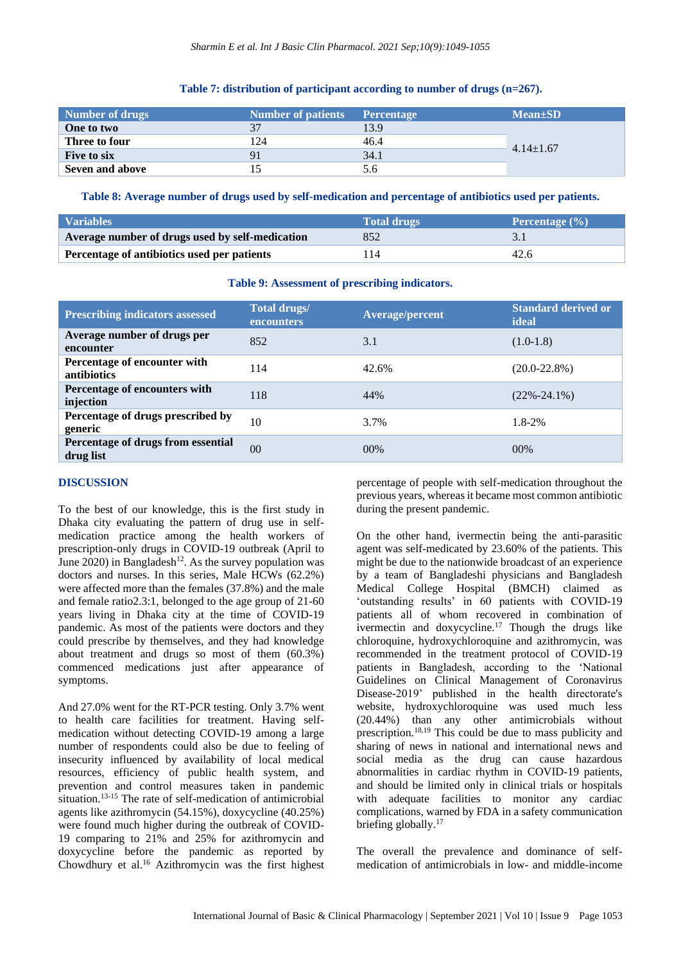#### **Table 7: distribution of participant according to number of drugs (n=267).**

| Number of drugs    | <b>Number of patients</b> | <b>Percentage</b> | $Mean \pm SD$   |
|--------------------|---------------------------|-------------------|-----------------|
| One to two         |                           | 13.9              |                 |
| Three to four      | 124                       | 46.4              |                 |
| <b>Five to six</b> |                           | 34.1              | $4.14 \pm 1.67$ |
| Seven and above    |                           | .0                |                 |

**Table 8: Average number of drugs used by self-medication and percentage of antibiotics used per patients.**

| <b>Variables</b>                                | <b>Total drugs</b> | Percentage $(\% )$ |
|-------------------------------------------------|--------------------|--------------------|
| Average number of drugs used by self-medication | 852                |                    |
| Percentage of antibiotics used per patients     | 14                 | 42.6               |

#### **Table 9: Assessment of prescribing indicators.**

| <b>Prescribing indicators assessed</b>             | <b>Total drugs/</b><br><b>encounters</b> | <b>Average/percent</b> | <b>Standard derived or</b><br>ideal |
|----------------------------------------------------|------------------------------------------|------------------------|-------------------------------------|
| Average number of drugs per<br>encounter           | 852                                      | 3.1                    | $(1.0-1.8)$                         |
| Percentage of encounter with<br><b>antibiotics</b> | 114                                      | 42.6%                  | $(20.0 - 22.8\%)$                   |
| Percentage of encounters with<br>injection         | 118                                      | 44%                    | $(22\% - 24.1\%)$                   |
| Percentage of drugs prescribed by<br>generic       | 10                                       | 3.7%                   | $1.8 - 2\%$                         |
| Percentage of drugs from essential<br>drug list    | 0 <sup>0</sup>                           | 00%                    | 00%                                 |

## **DISCUSSION**

To the best of our knowledge, this is the first study in Dhaka city evaluating the pattern of drug use in selfmedication practice among the health workers of prescription-only drugs in COVID-19 outbreak (April to June  $2020$ ) in Bangladesh<sup>12</sup>. As the survey population was doctors and nurses. In this series, Male HCWs (62.2%) were affected more than the females (37.8%) and the male and female ratio2.3:1, belonged to the age group of 21-60 years living in Dhaka city at the time of COVID-19 pandemic. As most of the patients were doctors and they could prescribe by themselves, and they had knowledge about treatment and drugs so most of them (60.3%) commenced medications just after appearance of symptoms.

And 27.0% went for the RT-PCR testing. Only 3.7% went to health care facilities for treatment. Having selfmedication without detecting COVID-19 among a large number of respondents could also be due to feeling of insecurity influenced by availability of local medical resources, efficiency of public health system, and prevention and control measures taken in pandemic situation.<sup>13-15</sup> The rate of self-medication of antimicrobial agents like azithromycin (54.15%), doxycycline (40.25%) were found much higher during the outbreak of COVID-19 comparing to 21% and 25% for azithromycin and doxycycline before the pandemic as reported by Chowdhury et al.<sup>16</sup> Azithromycin was the first highest percentage of people with self-medication throughout the previous years, whereas it became most common antibiotic during the present pandemic.

On the other hand, ivermectin being the anti-parasitic agent was self-medicated by 23.60% of the patients. This might be due to the nationwide broadcast of an experience by a team of Bangladeshi physicians and Bangladesh Medical College Hospital (BMCH) claimed as 'outstanding results' in 60 patients with COVID-19 patients all of whom recovered in combination of ivermectin and doxycycline.<sup>17</sup> Though the drugs like chloroquine, hydroxychloroquine and azithromycin, was recommended in the treatment protocol of COVID-19 patients in Bangladesh, according to the 'National Guidelines on Clinical Management of Coronavirus Disease-2019' published in the health directorate's website, hydroxychloroquine was used much less (20.44%) than any other antimicrobials without prescription.18,19 This could be due to mass publicity and sharing of news in national and international news and social media as the drug can cause hazardous abnormalities in cardiac rhythm in COVID-19 patients, and should be limited only in clinical trials or hospitals with adequate facilities to monitor any cardiac complications, warned by FDA in a safety communication briefing globally.<sup>17</sup>

The overall the prevalence and dominance of selfmedication of antimicrobials in low- and middle-income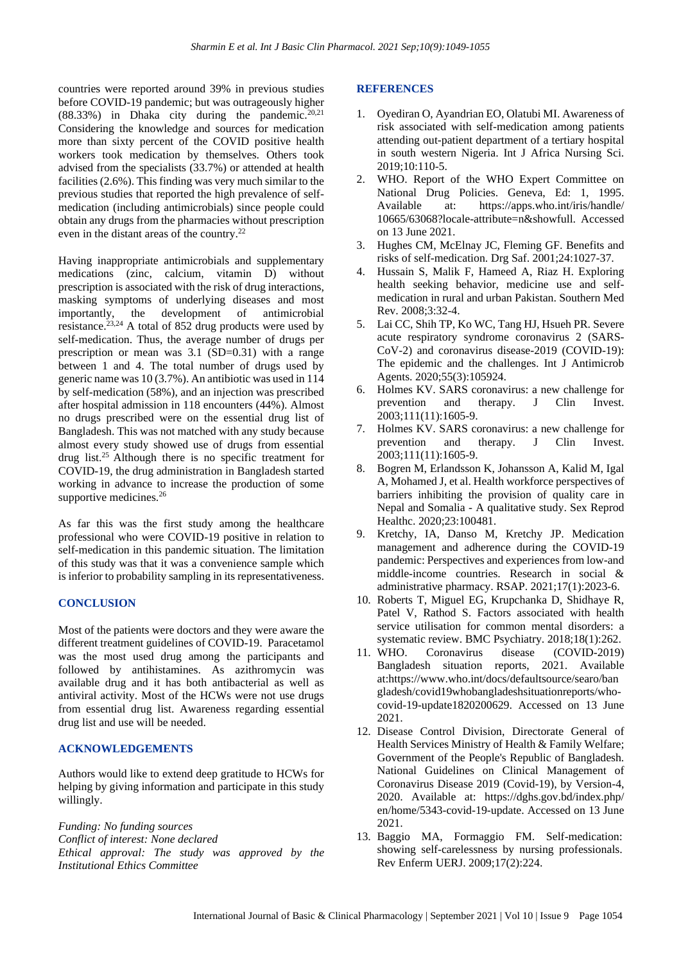countries were reported around 39% in previous studies before COVID-19 pandemic; but was outrageously higher (88.33%) in Dhaka city during the pandemic.<sup>20,21</sup> Considering the knowledge and sources for medication more than sixty percent of the COVID positive health workers took medication by themselves. Others took advised from the specialists (33.7%) or attended at health facilities (2.6%). This finding was very much similar to the previous studies that reported the high prevalence of selfmedication (including antimicrobials) since people could obtain any drugs from the pharmacies without prescription even in the distant areas of the country.<sup>22</sup>

Having inappropriate antimicrobials and supplementary medications (zinc, calcium, vitamin D) without prescription is associated with the risk of drug interactions, masking symptoms of underlying diseases and most importantly, the development of antimicrobial resistance.<sup>23,24</sup> A total of 852 drug products were used by self-medication. Thus, the average number of drugs per prescription or mean was 3.1 (SD=0.31) with a range between 1 and 4. The total number of drugs used by generic name was 10 (3.7%). An antibiotic was used in 114 by self-medication (58%), and an injection was prescribed after hospital admission in 118 encounters (44%). Almost no drugs prescribed were on the essential drug list of Bangladesh. This was not matched with any study because almost every study showed use of drugs from essential drug list.<sup>25</sup>Although there is no specific treatment for COVID-19, the drug administration in Bangladesh started working in advance to increase the production of some supportive medicines.<sup>26</sup>

As far this was the first study among the healthcare professional who were COVID-19 positive in relation to self-medication in this pandemic situation. The limitation of this study was that it was a convenience sample which is inferior to probability sampling in its representativeness.

#### **CONCLUSION**

Most of the patients were doctors and they were aware the different treatment guidelines of COVID-19. Paracetamol was the most used drug among the participants and followed by antihistamines. As azithromycin was available drug and it has both antibacterial as well as antiviral activity. Most of the HCWs were not use drugs from essential drug list. Awareness regarding essential drug list and use will be needed.

#### **ACKNOWLEDGEMENTS**

Authors would like to extend deep gratitude to HCWs for helping by giving information and participate in this study willingly.

*Funding: No funding sources Conflict of interest: None declared Ethical approval: The study was approved by the Institutional Ethics Committee*

#### **REFERENCES**

- 1. Oyediran O, Ayandrian EO, Olatubi MI. Awareness of risk associated with self-medication among patients attending out-patient department of a tertiary hospital in south western Nigeria. Int J Africa Nursing Sci. 2019;10:110-5.
- 2. WHO. Report of the WHO Expert Committee on National Drug Policies. Geneva, Ed: 1, 1995. Available at: https://apps.who.int/iris/handle/ 10665/63068?locale-attribute=n&showfull. Accessed on 13 June 2021.
- 3. Hughes CM, McElnay JC, Fleming GF. Benefits and risks of self-medication. Drg Saf. 2001;24:1027-37.
- 4. Hussain S, Malik F, Hameed A, Riaz H. Exploring health seeking behavior, medicine use and selfmedication in rural and urban Pakistan. Southern Med Rev. 2008;3:32-4.
- 5. Lai CC, Shih TP, Ko WC, Tang HJ, Hsueh PR. Severe acute respiratory syndrome coronavirus 2 (SARS-CoV-2) and coronavirus disease-2019 (COVID-19): The epidemic and the challenges. Int J Antimicrob Agents. 2020;55(3):105924.
- 6. Holmes KV. SARS coronavirus: a new challenge for prevention and therapy. J Clin Invest. 2003;111(11):1605-9.
- 7. Holmes KV. SARS coronavirus: a new challenge for prevention and therapy. J Clin Invest. 2003;111(11):1605-9.
- 8. Bogren M, Erlandsson K, Johansson A, Kalid M, Igal A, Mohamed J, et al. Health workforce perspectives of barriers inhibiting the provision of quality care in Nepal and Somalia - A qualitative study. Sex Reprod Healthc. 2020;23:100481.
- 9. Kretchy, IA, Danso M, Kretchy JP. Medication management and adherence during the COVID-19 pandemic: Perspectives and experiences from low-and middle-income countries. Research in social & administrative pharmacy. RSAP. 2021;17(1):2023-6.
- 10. Roberts T, Miguel EG, Krupchanka D, Shidhaye R, Patel V, Rathod S. Factors associated with health service utilisation for common mental disorders: a systematic review. BMC Psychiatry. 2018;18(1):262.
- 11. WHO. Coronavirus disease (COVID-2019) Bangladesh situation reports, 2021. Available at:https://www.who.int/docs/defaultsource/searo/ban gladesh/covid19whobangladeshsituationreports/whocovid-19-update1820200629. Accessed on 13 June 2021.
- 12. Disease Control Division, Directorate General of Health Services Ministry of Health & Family Welfare; Government of the People's Republic of Bangladesh. National Guidelines on Clinical Management of Coronavirus Disease 2019 (Covid-19), by Version-4, 2020. Available at: https://dghs.gov.bd/index.php/ en/home/5343-covid-19-update. Accessed on 13 June 2021.
- 13. Baggio MA, Formaggio FM. Self-medication: showing self-carelessness by nursing professionals. Rev Enferm UERJ. 2009;17(2):224.